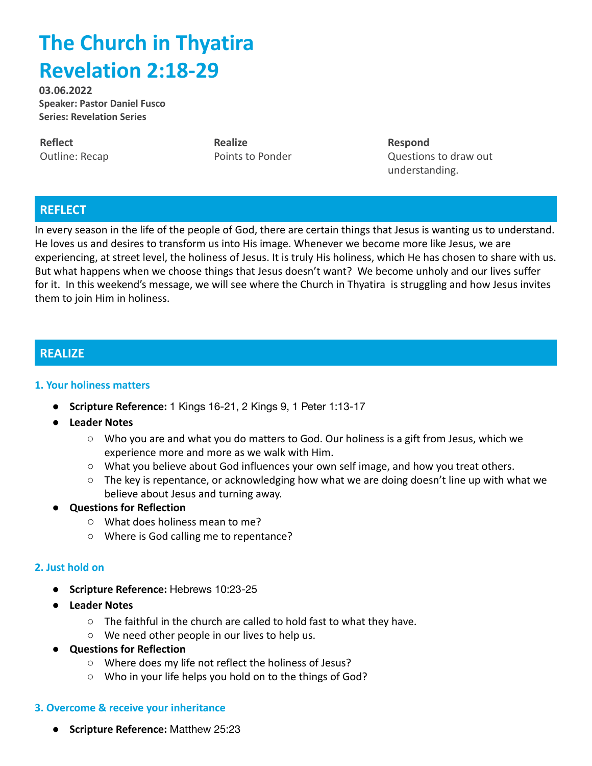# **The Church in Thyatira Revelation 2:18-29**

**03.06.2022 Speaker: Pastor Daniel Fusco Series: Revelation Series**

**Reflect** Outline: Recap **Realize** Points to Ponder **Respond** Questions to draw out understanding.

# **REFLECT**

In every season in the life of the people of God, there are certain things that Jesus is wanting us to understand. He loves us and desires to transform us into His image. Whenever we become more like Jesus, we are experiencing, at street level, the holiness of Jesus. It is truly His holiness, which He has chosen to share with us. But what happens when we choose things that Jesus doesn't want? We become unholy and our lives suffer for it. In this weekend's message, we will see where the Church in Thyatira is struggling and how Jesus invites them to join Him in holiness.

## **REALIZE**

#### **1. Your holiness matters**

- **● Scripture Reference:** 1 Kings 16-21, 2 Kings 9, 1 Peter 1:13-17
- **● Leader Notes**
	- Who you are and what you do matters to God. Our holiness is a gift from Jesus, which we experience more and more as we walk with Him.
	- What you believe about God influences your own self image, and how you treat others.
	- $\circ$  The key is repentance, or acknowledging how what we are doing doesn't line up with what we believe about Jesus and turning away.
- **Questions for Reflection**
	- **○** What does holiness mean to me?
	- Where is God calling me to repentance?

#### **2. Just hold on**

- **● Scripture Reference:** Hebrews 10:23-25
- **● Leader Notes**
	- The faithful in the church are called to hold fast to what they have.
	- We need other people in our lives to help us.
- **Questions for Reflection**
	- **○** Where does my life not reflect the holiness of Jesus?
	- Who in your life helps you hold on to the things of God?

#### **3. Overcome & receive your inheritance**

**● Scripture Reference:** Matthew 25:23